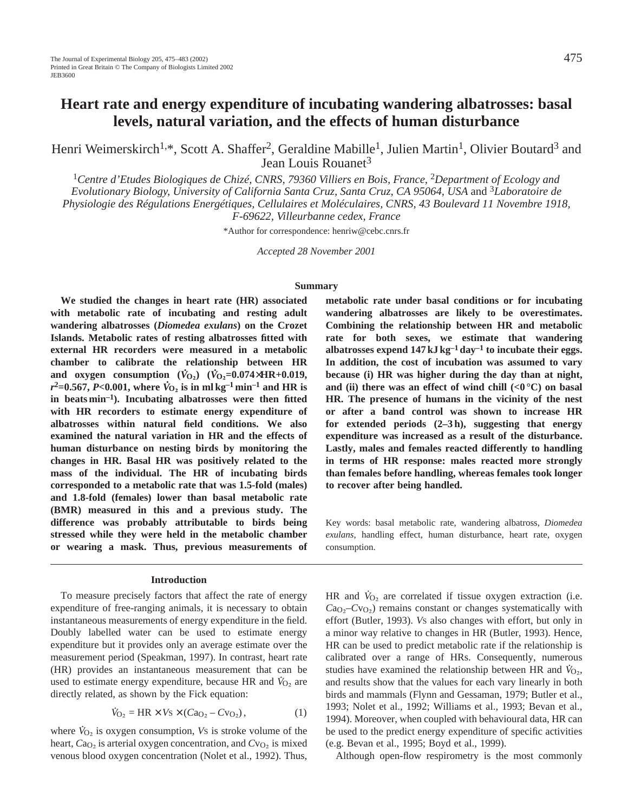Henri Weimerskirch<sup>1,\*</sup>, Scott A. Shaffer<sup>2</sup>, Geraldine Mabille<sup>1</sup>, Julien Martin<sup>1</sup>, Olivier Boutard<sup>3</sup> and Jean Louis Rouanet<sup>3</sup>

<sup>1</sup>*Centre d'Etudes Biologiques de Chizé, CNRS, 79360 Villiers en Bois, France,* 2*Department of Ecology and Evolutionary Biology, University of California Santa Cruz, Santa Cruz, CA 95064, USA* and <sup>3</sup>*Laboratoire de Physiologie des Régulations Energétiques, Cellulaires et Moléculaires, CNRS, 43 Boulevard 11 Novembre 1918, F-69622, Villeurbanne cedex, France* 

\*Author for correspondence: henriw@cebc.cnrs.fr

*Accepted 28 November 2001* 

## **Summary**

**We studied the changes in heart rate (HR) associated with metabolic rate of incubating and resting adult wandering albatrosses (***Diomedea exulans***) on the Crozet Islands. Metabolic rates of resting albatrosses fitted with external HR recorders were measured in a metabolic chamber to calibrate the relationship between HR and oxygen consumption**  $(\dot{V}_{O_2})$   $(\dot{V}_{O_2}=0.074\times\text{HR}+0.019,$ <br>
<sup>2</sup> 0.557 P 0.001 L  $\dot{V}_{O_2}$  is the latter of the latter of  $r^2$ =0.567, *P<*0.001, where  $\dot{V}_{\text{O}_2}$  is in ml kg<sup>-1</sup> min<sup>-1</sup> and HR is **in beats min–1). Incubating albatrosses were then fitted with HR recorders to estimate energy expenditure of albatrosses within natural field conditions. We also examined the natural variation in HR and the effects of human disturbance on nesting birds by monitoring the changes in HR. Basal HR was positively related to the mass of the individual. The HR of incubating birds corresponded to a metabolic rate that was 1.5-fold (males) and 1.8-fold (females) lower than basal metabolic rate (BMR) measured in this and a previous study. The difference was probably attributable to birds being stressed while they were held in the metabolic chamber or wearing a mask. Thus, previous measurements of**

#### **Introduction**

To measure precisely factors that affect the rate of energy expenditure of free-ranging animals, it is necessary to obtain instantaneous measurements of energy expenditure in the field. Doubly labelled water can be used to estimate energy expenditure but it provides only an average estimate over the measurement period (Speakman, 1997). In contrast, heart rate (HR) provides an instantaneous measurement that can be . used to estimate energy expenditure, because HR and  $\dot{V}_{O_2}$  are directly related, as shown by the Fick equation:

$$
\dot{V}_{O_2} = HR \times V_s \times (Ca_{O_2} - Cv_{O_2}),
$$
\n(1)

where  $\dot{V}_{\text{O}_2}$  is oxygen consumption, *Vs* is stroke volume of the heart,  $Ca<sub>O<sub>2</sub></sub>$  is arterial oxygen concentration, and  $Cu<sub>O<sub>2</sub></sub>$  is mixed venous blood oxygen concentration (Nolet et al., 1992). Thus, **metabolic rate under basal conditions or for incubating wandering albatrosses are likely to be overestimates. Combining the relationship between HR and metabolic rate for both sexes, we estimate that wandering albatrosses expend 147 kJ kg–1 day–1 to incubate their eggs. In addition, the cost of incubation was assumed to vary because (i) HR was higher during the day than at night,** and (ii) there was an effect of wind chill  $\langle 0^{\circ}$ C) on basal **HR. The presence of humans in the vicinity of the nest or after a band control was shown to increase HR for extended periods (2–3 h), suggesting that energy expenditure was increased as a result of the disturbance. Lastly, males and females reacted differently to handling in terms of HR response: males reacted more strongly than females before handling, whereas females took longer to recover after being handled.**

Key words: basal metabolic rate, wandering albatross, *Diomedea exulans*, handling effect, human disturbance, heart rate, oxygen consumption.

HR and  $\dot{V}_{O_2}$  are correlated if tissue oxygen extraction (i.e.  $Ca<sub>O</sub>$ – $Cu<sub>O</sub>$ ) remains constant or changes systematically with effort (Butler, 1993). *V*S also changes with effort, but only in a minor way relative to changes in HR (Butler, 1993). Hence, HR can be used to predict metabolic rate if the relationship is calibrated over a range of HRs. Consequently, numerous studies have examined the relationship between HR and  $\dot{V}_{O_2}$ , and results show that the values for each vary linearly in both birds and mammals (Flynn and Gessaman, 1979; Butler et al., 1993; Nolet et al., 1992; Williams et al., 1993; Bevan et al., 1994). Moreover, when coupled with behavioural data, HR can be used to the predict energy expenditure of specific activities (e.g. Bevan et al., 1995; Boyd et al., 1999).

Although open-flow respirometry is the most commonly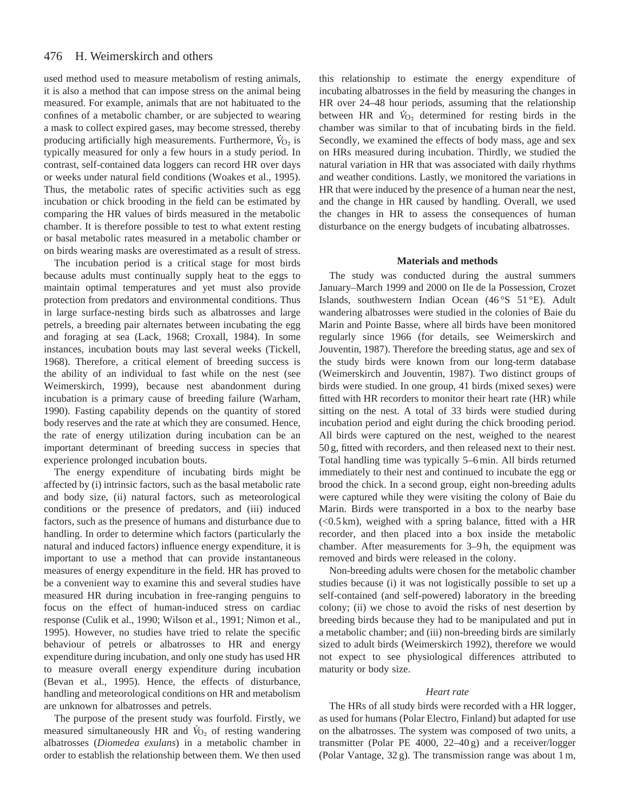#### 476 H. Weimerskirch and others

used method used to measure metabolism of resting animals, it is also a method that can impose stress on the animal being measured. For example, animals that are not habituated to the confines of a metabolic chamber, or are subjected to wearing a mask to collect expired gases, may become stressed, thereby producing artificially high measurements. Furthermore,  $\dot{V}_{O_2}$  is typically measured for only a few hours in a study period. In contrast, self-contained data loggers can record HR over days or weeks under natural field conditions (Woakes et al., 1995). Thus, the metabolic rates of specific activities such as egg incubation or chick brooding in the field can be estimated by comparing the HR values of birds measured in the metabolic chamber. It is therefore possible to test to what extent resting or basal metabolic rates measured in a metabolic chamber or on birds wearing masks are overestimated as a result of stress.

The incubation period is a critical stage for most birds because adults must continually supply heat to the eggs to maintain optimal temperatures and yet must also provide protection from predators and environmental conditions. Thus in large surface-nesting birds such as albatrosses and large petrels, a breeding pair alternates between incubating the egg and foraging at sea (Lack, 1968; Croxall, 1984). In some instances, incubation bouts may last several weeks (Tickell, 1968). Therefore, a critical element of breeding success is the ability of an individual to fast while on the nest (see Weimerskirch, 1999), because nest abandonment during incubation is a primary cause of breeding failure (Warham, 1990). Fasting capability depends on the quantity of stored body reserves and the rate at which they are consumed. Hence, the rate of energy utilization during incubation can be an important determinant of breeding success in species that experience prolonged incubation bouts.

The energy expenditure of incubating birds might be affected by (i) intrinsic factors, such as the basal metabolic rate and body size, (ii) natural factors, such as meteorological conditions or the presence of predators, and (iii) induced factors, such as the presence of humans and disturbance due to handling. In order to determine which factors (particularly the natural and induced factors) influence energy expenditure, it is important to use a method that can provide instantaneous measures of energy expenditure in the field. HR has proved to be a convenient way to examine this and several studies have measured HR during incubation in free-ranging penguins to focus on the effect of human-induced stress on cardiac response (Culik et al., 1990; Wilson et al., 1991; Nimon et al., 1995). However, no studies have tried to relate the specific behaviour of petrels or albatrosses to HR and energy expenditure during incubation, and only one study has used HR to measure overall energy expenditure during incubation (Bevan et al., 1995). Hence, the effects of disturbance, handling and meteorological conditions on HR and metabolism are unknown for albatrosses and petrels.

The purpose of the present study was fourfold. Firstly, we measured simultaneously HR and  $\dot{V}_{O_2}$  of resting wandering albatrosses (*Diomedea exulans*) in a metabolic chamber in order to establish the relationship between them. We then used

this relationship to estimate the energy expenditure of incubating albatrosses in the field by measuring the changes in HR over 24–48 hour periods, assuming that the relationship . between HR and  $\dot{V}_{O_2}$  determined for resting birds in the chamber was similar to that of incubating birds in the field. Secondly, we examined the effects of body mass, age and sex on HRs measured during incubation. Thirdly, we studied the natural variation in HR that was associated with daily rhythms and weather conditions. Lastly, we monitored the variations in HR that were induced by the presence of a human near the nest, and the change in HR caused by handling. Overall, we used the changes in HR to assess the consequences of human disturbance on the energy budgets of incubating albatrosses.

### **Materials and methods**

The study was conducted during the austral summers January–March 1999 and 2000 on Ile de la Possession, Crozet Islands, southwestern Indian Ocean (46 °S 51 °E). Adult wandering albatrosses were studied in the colonies of Baie du Marin and Pointe Basse, where all birds have been monitored regularly since 1966 (for details, see Weimerskirch and Jouventin, 1987). Therefore the breeding status, age and sex of the study birds were known from our long-term database (Weimerskirch and Jouventin, 1987). Two distinct groups of birds were studied. In one group, 41 birds (mixed sexes) were fitted with HR recorders to monitor their heart rate (HR) while sitting on the nest. A total of 33 birds were studied during incubation period and eight during the chick brooding period. All birds were captured on the nest, weighed to the nearest 50 g, fitted with recorders, and then released next to their nest. Total handling time was typically 5–6 min. All birds returned immediately to their nest and continued to incubate the egg or brood the chick. In a second group, eight non-breeding adults were captured while they were visiting the colony of Baie du Marin. Birds were transported in a box to the nearby base  $(< 0.5 \text{ km})$ , weighed with a spring balance, fitted with a HR recorder, and then placed into a box inside the metabolic chamber. After measurements for 3–9 h, the equipment was removed and birds were released in the colony.

Non-breeding adults were chosen for the metabolic chamber studies because (i) it was not logistically possible to set up a self-contained (and self-powered) laboratory in the breeding colony; (ii) we chose to avoid the risks of nest desertion by breeding birds because they had to be manipulated and put in a metabolic chamber; and (iii) non-breeding birds are similarly sized to adult birds (Weimerskirch 1992), therefore we would not expect to see physiological differences attributed to maturity or body size.

### *Heart rate*

The HRs of all study birds were recorded with a HR logger, as used for humans (Polar Electro, Finland) but adapted for use on the albatrosses. The system was composed of two units, a transmitter (Polar PE 4000, 22–40 g) and a receiver/logger (Polar Vantage, 32 g). The transmission range was about 1 m,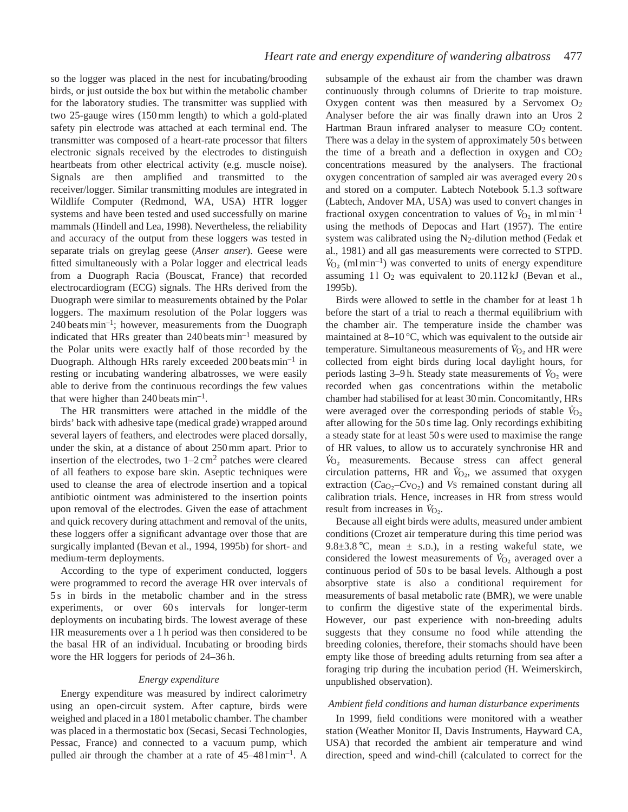so the logger was placed in the nest for incubating/brooding birds, or just outside the box but within the metabolic chamber for the laboratory studies. The transmitter was supplied with two 25-gauge wires (150 mm length) to which a gold-plated safety pin electrode was attached at each terminal end. The transmitter was composed of a heart-rate processor that filters electronic signals received by the electrodes to distinguish heartbeats from other electrical activity (e.g. muscle noise). Signals are then amplified and transmitted to the receiver/logger. Similar transmitting modules are integrated in Wildlife Computer (Redmond, WA, USA) HTR logger systems and have been tested and used successfully on marine mammals (Hindell and Lea, 1998). Nevertheless, the reliability and accuracy of the output from these loggers was tested in separate trials on greylag geese (*Anser anser*). Geese were fitted simultaneously with a Polar logger and electrical leads from a Duograph Racia (Bouscat, France) that recorded electrocardiogram (ECG) signals. The HRs derived from the Duograph were similar to measurements obtained by the Polar loggers. The maximum resolution of the Polar loggers was  $240$  beats min<sup>-1</sup>; however, measurements from the Duograph indicated that HRs greater than  $240$  beats min<sup>-1</sup> measured by the Polar units were exactly half of those recorded by the Duograph. Although HRs rarely exceeded 200 beats min–1 in resting or incubating wandering albatrosses, we were easily able to derive from the continuous recordings the few values that were higher than 240 beats  $min^{-1}$ .

The HR transmitters were attached in the middle of the birds' back with adhesive tape (medical grade) wrapped around several layers of feathers, and electrodes were placed dorsally, under the skin, at a distance of about 250 mm apart. Prior to insertion of the electrodes, two  $1-2 \text{ cm}^2$  patches were cleared of all feathers to expose bare skin. Aseptic techniques were used to cleanse the area of electrode insertion and a topical antibiotic ointment was administered to the insertion points upon removal of the electrodes. Given the ease of attachment and quick recovery during attachment and removal of the units, these loggers offer a significant advantage over those that are surgically implanted (Bevan et al., 1994, 1995b) for short- and medium-term deployments.

According to the type of experiment conducted, loggers were programmed to record the average HR over intervals of 5 s in birds in the metabolic chamber and in the stress experiments, or over 60s intervals for longer-term deployments on incubating birds. The lowest average of these HR measurements over a 1 h period was then considered to be the basal HR of an individual. Incubating or brooding birds wore the HR loggers for periods of 24–36 h.

## *Energy expenditure*

Energy expenditure was measured by indirect calorimetry using an open-circuit system. After capture, birds were weighed and placed in a 180 l metabolic chamber. The chamber was placed in a thermostatic box (Secasi, Secasi Technologies, Pessac, France) and connected to a vacuum pump, which pulled air through the chamber at a rate of  $45-481$  min<sup>-1</sup>. A

subsample of the exhaust air from the chamber was drawn continuously through columns of Drierite to trap moisture. Oxygen content was then measured by a Servomex O2 Analyser before the air was finally drawn into an Uros 2 Hartman Braun infrared analyser to measure  $CO<sub>2</sub>$  content. There was a delay in the system of approximately 50 s between the time of a breath and a deflection in oxygen and  $CO<sub>2</sub>$ concentrations measured by the analysers. The fractional oxygen concentration of sampled air was averaged every 20 s and stored on a computer. Labtech Notebook 5.1.3 software (Labtech, Andover MA, USA) was used to convert changes in . fractional oxygen concentration to values of  $\dot{V}_{O_2}$  in mlmin<sup>-1</sup> using the methods of Depocas and Hart (1957). The entire system was calibrated using the  $N_2$ -dilution method (Fedak et al., 1981) and all gas measurements were corrected to STPD. .  $\dot{V}_{\text{O}_2}$  (ml min<sup>-1</sup>) was converted to units of energy expenditure assuming  $11 O_2$  was equivalent to  $20.112 kJ$  (Bevan et al., 1995b).

Birds were allowed to settle in the chamber for at least 1 h before the start of a trial to reach a thermal equilibrium with the chamber air. The temperature inside the chamber was maintained at  $8-10^{\circ}$ C, which was equivalent to the outside air temperature. Simultaneous measurements of  $\dot{V}_{O_2}$  and HR were collected from eight birds during local daylight hours, for . periods lasting 3–9h. Steady state measurements of  $\dot{V}_{O_2}$  were recorded when gas concentrations within the metabolic chamber had stabilised for at least 30 min. Concomitantly, HRs . were averaged over the corresponding periods of stable  $\dot{V}_{O_2}$ after allowing for the 50 s time lag. Only recordings exhibiting a steady state for at least 50 s were used to maximise the range of HR values, to allow us to accurately synchronise HR and . *V*<sup>O</sup><sub>2</sub> measurements. Because stress can affect general circulation patterns, HR and  $\dot{V}_{\text{O}_2}$ , we assumed that oxygen extraction ( $Ca_{O_2}$ – $Cu_{O_2}$ ) and *Vs* remained constant during all calibration trials. Hence, increases in HR from stress would . result from increases in  $\dot{V}_{\text{O}_2}$ .

Because all eight birds were adults, measured under ambient conditions (Crozet air temperature during this time period was 9.8 $\pm$ 3.8 °C, mean  $\pm$  s.D.), in a resting wakeful state, we considered the lowest measurements of  $\dot{V}_{O_2}$  averaged over a continuous period of 50 s to be basal levels. Although a post absorptive state is also a conditional requirement for measurements of basal metabolic rate (BMR), we were unable to confirm the digestive state of the experimental birds. However, our past experience with non-breeding adults suggests that they consume no food while attending the breeding colonies, therefore, their stomachs should have been empty like those of breeding adults returning from sea after a foraging trip during the incubation period (H. Weimerskirch, unpublished observation).

## *Ambient field conditions and human disturbance experiments*

In 1999, field conditions were monitored with a weather station (Weather Monitor II, Davis Instruments, Hayward CA, USA) that recorded the ambient air temperature and wind direction, speed and wind-chill (calculated to correct for the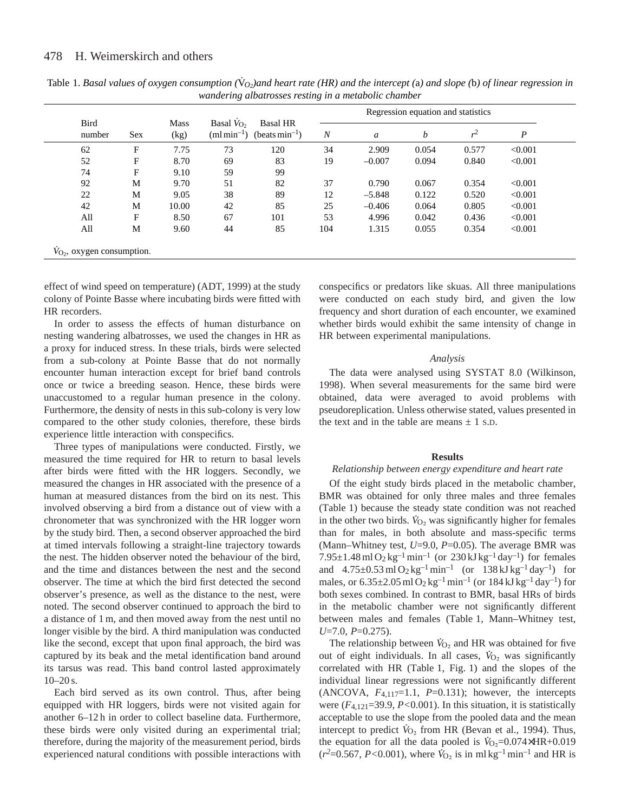| <b>Bird</b><br>number | <b>Sex</b> | Mass<br>(kg) | Basal $V_{\text{O}}$ ,<br>$\text{(ml min}^{-1})$ | <b>Basal HR</b><br>(beats $min^{-1}$ ) | Regression equation and statistics |          |       |       |                  |
|-----------------------|------------|--------------|--------------------------------------------------|----------------------------------------|------------------------------------|----------|-------|-------|------------------|
|                       |            |              |                                                  |                                        | $\boldsymbol{N}$                   | a        | b     | $r^2$ | $\boldsymbol{P}$ |
| 62                    | F          | 7.75         | 73                                               | 120                                    | 34                                 | 2.909    | 0.054 | 0.577 | < 0.001          |
| 52                    | F          | 8.70         | 69                                               | 83                                     | 19                                 | $-0.007$ | 0.094 | 0.840 | < 0.001          |
| 74                    | F          | 9.10         | 59                                               | 99                                     |                                    |          |       |       |                  |
| 92                    | M          | 9.70         | 51                                               | 82                                     | 37                                 | 0.790    | 0.067 | 0.354 | < 0.001          |
| 22                    | M          | 9.05         | 38                                               | 89                                     | 12                                 | $-5.848$ | 0.122 | 0.520 | < 0.001          |
| 42                    | M          | 10.00        | 42                                               | 85                                     | 25                                 | $-0.406$ | 0.064 | 0.805 | < 0.001          |
| All                   | F          | 8.50         | 67                                               | 101                                    | 53                                 | 4.996    | 0.042 | 0.436 | < 0.001          |
| All                   | М          | 9.60         | 44                                               | 85                                     | 104                                | 1.315    | 0.055 | 0.354 | < 0.001          |

Table 1. Basal values of oxygen consumption  $(\dot{V}_{O_2})$ and heart rate (HR) and the intercept (a) and slope (b) of linear regression in *wandering albatrosses resting in a metabolic chamber*

effect of wind speed on temperature) (ADT, 1999) at the study colony of Pointe Basse where incubating birds were fitted with HR recorders.

In order to assess the effects of human disturbance on nesting wandering albatrosses, we used the changes in HR as a proxy for induced stress. In these trials, birds were selected from a sub-colony at Pointe Basse that do not normally encounter human interaction except for brief band controls once or twice a breeding season. Hence, these birds were unaccustomed to a regular human presence in the colony. Furthermore, the density of nests in this sub-colony is very low compared to the other study colonies, therefore, these birds experience little interaction with conspecifics.

Three types of manipulations were conducted. Firstly, we measured the time required for HR to return to basal levels after birds were fitted with the HR loggers. Secondly, we measured the changes in HR associated with the presence of a human at measured distances from the bird on its nest. This involved observing a bird from a distance out of view with a chronometer that was synchronized with the HR logger worn by the study bird. Then, a second observer approached the bird at timed intervals following a straight-line trajectory towards the nest. The hidden observer noted the behaviour of the bird, and the time and distances between the nest and the second observer. The time at which the bird first detected the second observer's presence, as well as the distance to the nest, were noted. The second observer continued to approach the bird to a distance of 1 m, and then moved away from the nest until no longer visible by the bird. A third manipulation was conducted like the second, except that upon final approach, the bird was captured by its beak and the metal identification band around its tarsus was read. This band control lasted approximately  $10-20$  s.

Each bird served as its own control. Thus, after being equipped with HR loggers, birds were not visited again for another 6–12 h in order to collect baseline data. Furthermore, these birds were only visited during an experimental trial; therefore, during the majority of the measurement period, birds experienced natural conditions with possible interactions with conspecifics or predators like skuas. All three manipulations were conducted on each study bird, and given the low frequency and short duration of each encounter, we examined whether birds would exhibit the same intensity of change in HR between experimental manipulations.

## *Analysis*

The data were analysed using SYSTAT 8.0 (Wilkinson, 1998). When several measurements for the same bird were obtained, data were averaged to avoid problems with pseudoreplication. Unless otherwise stated, values presented in the text and in the table are means  $\pm$  1 s.D.

## **Results**

#### *Relationship between energy expenditure and heart rate*

Of the eight study birds placed in the metabolic chamber, BMR was obtained for only three males and three females (Table 1) because the steady state condition was not reached . in the other two birds.  $\dot{V}_{\text{O}_2}$  was significantly higher for females than for males, in both absolute and mass-specific terms (Mann–Whitney test, *U*=9.0, *P*=0.05). The average BMR was  $7.95 \pm 1.48$  ml  $O_2$  kg<sup>-1</sup> min<sup>-1</sup> (or 230 kJ kg<sup>-1</sup> day<sup>-1</sup>) for females and  $4.75\pm0.53$  ml O<sub>2</sub> kg<sup>-1</sup> min<sup>-1</sup> (or  $138$  kJ kg<sup>-1</sup> day<sup>-1</sup>) for males, or  $6.35\pm2.05$  ml O<sub>2</sub> kg<sup>-1</sup> min<sup>-1</sup> (or  $184$  kJ kg<sup>-1</sup> day<sup>-1</sup>) for both sexes combined. In contrast to BMR, basal HRs of birds in the metabolic chamber were not significantly different between males and females (Table 1, Mann–Whitney test, *U*=7.0, *P*=0.275).

The relationship between  $V_{O_2}$  and HR was obtained for five out of eight individuals. In all cases,  $\dot{V}_{O_2}$  was significantly correlated with HR (Table 1, Fig. 1) and the slopes of the individual linear regressions were not significantly different (ANCOVA,  $F_{4,117}=1.1$ ,  $P=0.131$ ); however, the intercepts were (*F*4,121=39.9, *P<*0.001). In this situation, it is statistically acceptable to use the slope from the pooled data and the mean intercept to predict  $V_{O_2}$  from HR (Bevan et al., 1994). Thus, the equation for all the data pooled is  $V_{\text{O}_2} = 0.074 \times HR + 0.019$  $(r^2=0.567, P<0.001)$ , where  $\bar{V}_{\text{O}_2}$  is in ml kg<sup>-1</sup> min<sup>-1</sup> and HR is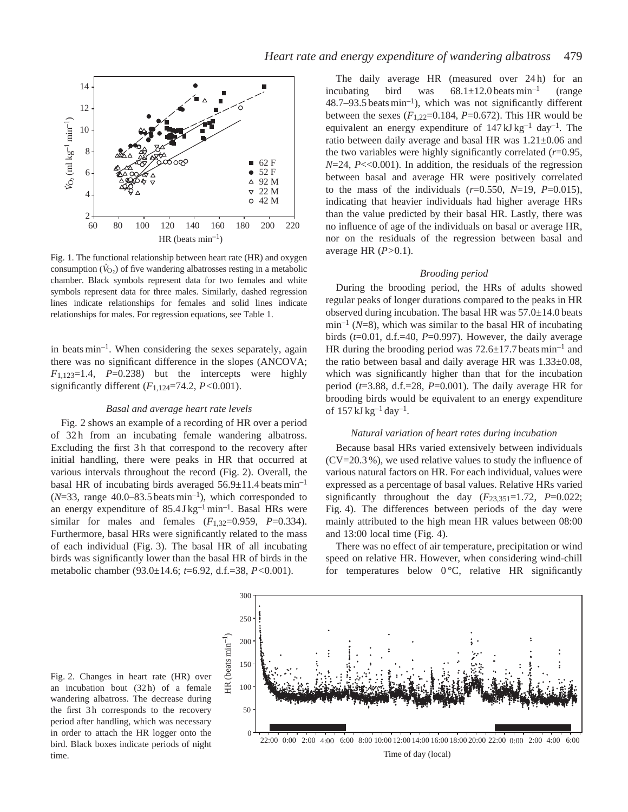

Fig. 1. The functional relationship between heart rate (HR) and oxygen . consumption  $(\dot{V}_{O_2})$  of five wandering albatrosses resting in a metabolic chamber. Black symbols represent data for two females and white symbols represent data for three males. Similarly, dashed regression lines indicate relationships for females and solid lines indicate relationships for males. For regression equations, see Table 1.

in beats min–1. When considering the sexes separately, again there was no significant difference in the slopes (ANCOVA;  $F_{1,123}=1.4$ ,  $P=0.238$ ) but the intercepts were highly significantly different (*F*1,124=74.2, *P<*0.001).

## *Basal and average heart rate levels*

Fig. 2 shows an example of a recording of HR over a period of 32 h from an incubating female wandering albatross. Excluding the first 3 h that correspond to the recovery after initial handling, there were peaks in HR that occurred at various intervals throughout the record (Fig. 2). Overall, the basal HR of incubating birds averaged  $56.9 \pm 11.4$  beats min<sup>-1</sup>  $(N=33, \text{ range } 40.0-83.5 \text{ beats min}^{-1}),$  which corresponded to an energy expenditure of  $85.4$  J kg<sup>-1</sup> min<sup>-1</sup>. Basal HRs were similar for males and females  $(F_{1,32}=0.959, P=0.334)$ . Furthermore, basal HRs were significantly related to the mass of each individual (Fig. 3). The basal HR of all incubating birds was significantly lower than the basal HR of birds in the metabolic chamber (93.0±14.6; *t*=6.92, d.f.=38, *P<*0.001).

The daily average HR (measured over 24h) for an incubating bird was  $68.1 \pm 12.0$  beats min<sup>-1</sup> (range  $48.7-93.5$  beats min<sup>-1</sup>), which was not significantly different between the sexes  $(F_{1,22}=0.184, P=0.672)$ . This HR would be equivalent an energy expenditure of  $147 \text{ kJ kg}^{-1}$  day<sup>-1</sup>. The ratio between daily average and basal HR was 1.21±0.06 and the two variables were highly significantly correlated (*r*=0.95,  $N=24$ ,  $P\ll0.001$ ). In addition, the residuals of the regression between basal and average HR were positively correlated to the mass of the individuals  $(r=0.550, N=19, P=0.015)$ , indicating that heavier individuals had higher average HRs than the value predicted by their basal HR. Lastly, there was no influence of age of the individuals on basal or average HR, nor on the residuals of the regression between basal and average HR (*P>*0.1).

## *Brooding period*

During the brooding period, the HRs of adults showed regular peaks of longer durations compared to the peaks in HR observed during incubation. The basal HR was  $57.0\pm14.0$  beats  $\min^{-1}$  (*N*=8), which was similar to the basal HR of incubating birds (*t*=0.01, d.f.=40, *P*=0.997). However, the daily average HR during the brooding period was  $72.6 \pm 17.7$  beats min<sup>-1</sup> and the ratio between basal and daily average HR was 1.33±0.08, which was significantly higher than that for the incubation period ( $t=3.88$ , d.f.=28,  $P=0.001$ ). The daily average HR for brooding birds would be equivalent to an energy expenditure of  $157 \text{ kJ kg}^{-1}$  day<sup>-1</sup>.

## *Natural variation of heart rates during incubation*

Because basal HRs varied extensively between individuals (CV=20.3 %), we used relative values to study the influence of various natural factors on HR. For each individual, values were expressed as a percentage of basal values. Relative HRs varied significantly throughout the day  $(F_{23,351}=1.72, P=0.022;$ Fig. 4). The differences between periods of the day were mainly attributed to the high mean HR values between 08:00 and 13:00 local time (Fig. 4).

There was no effect of air temperature, precipitation or wind speed on relative HR. However, when considering wind-chill for temperatures below  $0^{\circ}$ C, relative HR significantly



Fig. 2. Changes in heart rate (HR) over an incubation bout (32 h) of a female wandering albatross. The decrease during the first 3h corresponds to the recovery period after handling, which was necessary in order to attach the HR logger onto the bird. Black boxes indicate periods of night time.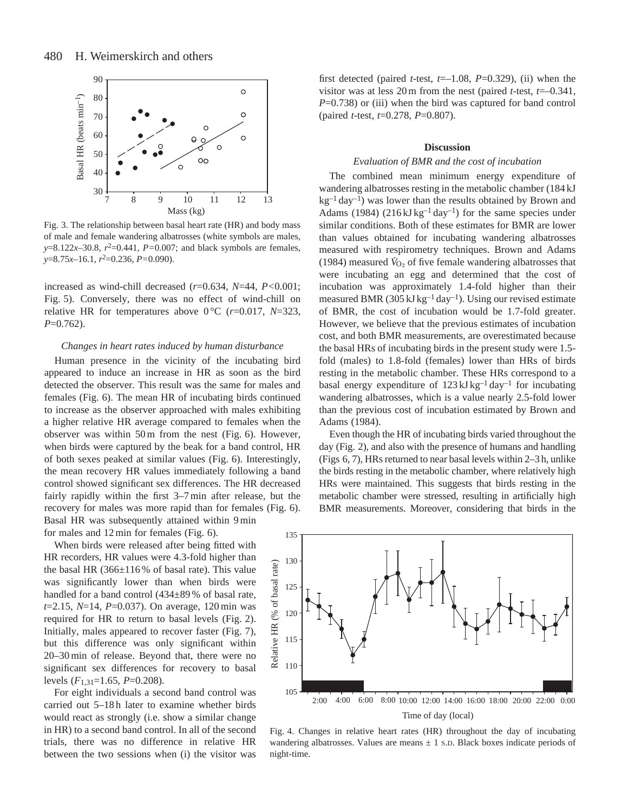

Fig. 3. The relationship between basal heart rate (HR) and body mass of male and female wandering albatrosses (white symbols are males, *y*=8.122*x*–30.8,  $r^2$ =0.441,  $P$ =0.007; and black symbols are females, *y*=8.75*x*–16.1, *r*2=0.236, *P=*0.090).

increased as wind-chill decreased (*r*=0.634, *N*=44, *P<*0.001; Fig. 5). Conversely, there was no effect of wind-chill on relative HR for temperatures above  $0^{\circ}$ C ( $r=0.017$ ,  $N=323$ , *P*=0.762).

### *Changes in heart rates induced by human disturbance*

Human presence in the vicinity of the incubating bird appeared to induce an increase in HR as soon as the bird detected the observer. This result was the same for males and females (Fig. 6). The mean HR of incubating birds continued to increase as the observer approached with males exhibiting a higher relative HR average compared to females when the observer was within 50 m from the nest (Fig. 6). However, when birds were captured by the beak for a band control, HR of both sexes peaked at similar values (Fig. 6). Interestingly, the mean recovery HR values immediately following a band control showed significant sex differences. The HR decreased fairly rapidly within the first 3–7 min after release, but the recovery for males was more rapid than for females (Fig. 6). Basal HR was subsequently attained within 9 min for males and 12 min for females (Fig. 6).

When birds were released after being fitted with HR recorders, HR values were 4.3-fold higher than the basal HR  $(366\pm116\%$  of basal rate). This value was significantly lower than when birds were handled for a band control (434±89 % of basal rate, *t*=2.15, *N*=14, *P*=0.037). On average, 120 min was required for HR to return to basal levels (Fig. 2). Initially, males appeared to recover faster (Fig. 7), but this difference was only significant within 20–30 min of release. Beyond that, there were no significant sex differences for recovery to basal levels (*F*1,31=1.65, *P*=0.208).

For eight individuals a second band control was carried out 5–18 h later to examine whether birds would react as strongly (i.e. show a similar change in HR) to a second band control. In all of the second trials, there was no difference in relative HR between the two sessions when (i) the visitor was

first detected (paired *t*-test,  $t=-1.08$ ,  $P=0.329$ ), (ii) when the visitor was at less 20 m from the nest (paired *t*-test, *t*=–0.341, *P*=0.738) or (iii) when the bird was captured for band control (paired *t*-test, *t*=0.278, *P*=0.807).

## **Discussion**

## *Evaluation of BMR and the cost of incubation*

The combined mean minimum energy expenditure of wandering albatrosses resting in the metabolic chamber (184 kJ  $kg^{-1}$  day<sup>-1</sup>) was lower than the results obtained by Brown and Adams (1984) (216 kJ kg<sup>-1</sup> day<sup>-1</sup>) for the same species under similar conditions. Both of these estimates for BMR are lower than values obtained for incubating wandering albatrosses measured with respirometry techniques. Brown and Adams (1984) measured  $\hat{V}_{O_2}$  of five female wandering albatrosses that were incubating an egg and determined that the cost of incubation was approximately 1.4-fold higher than their measured BMR (305 kJ kg<sup>-1</sup> day<sup>-1</sup>). Using our revised estimate of BMR, the cost of incubation would be 1.7-fold greater. However, we believe that the previous estimates of incubation cost, and both BMR measurements, are overestimated because the basal HRs of incubating birds in the present study were 1.5 fold (males) to 1.8-fold (females) lower than HRs of birds resting in the metabolic chamber. These HRs correspond to a basal energy expenditure of  $123 \text{ kJ kg}^{-1}$  day<sup>-1</sup> for incubating wandering albatrosses, which is a value nearly 2.5-fold lower than the previous cost of incubation estimated by Brown and Adams (1984).

Even though the HR of incubating birds varied throughout the day (Fig. 2), and also with the presence of humans and handling (Figs 6, 7), HRs returned to near basal levels within 2–3 h, unlike the birds resting in the metabolic chamber, where relatively high HRs were maintained. This suggests that birds resting in the metabolic chamber were stressed, resulting in artificially high BMR measurements. Moreover, considering that birds in the



Fig. 4. Changes in relative heart rates (HR) throughout the day of incubating wandering albatrosses. Values are means  $\pm$  1 s.D. Black boxes indicate periods of night-time.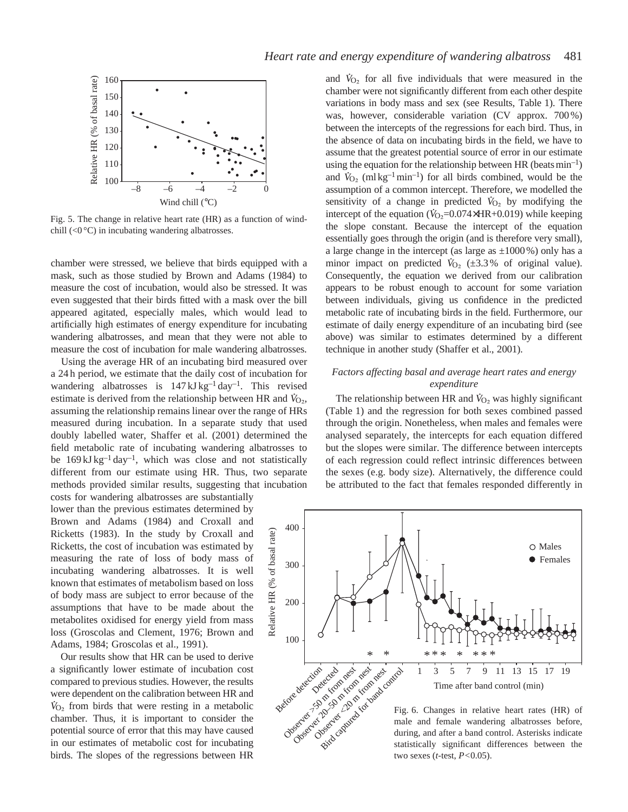

Fig. 5. The change in relative heart rate (HR) as a function of windchill (<0 °C) in incubating wandering albatrosses.

chamber were stressed, we believe that birds equipped with a mask, such as those studied by Brown and Adams (1984) to measure the cost of incubation, would also be stressed. It was even suggested that their birds fitted with a mask over the bill appeared agitated, especially males, which would lead to artificially high estimates of energy expenditure for incubating wandering albatrosses, and mean that they were not able to measure the cost of incubation for male wandering albatrosses.

Using the average HR of an incubating bird measured over a 24 h period, we estimate that the daily cost of incubation for wandering albatrosses is  $147 \text{ kJ kg}^{-1} \text{ day}^{-1}$ . This revised estimate is derived from the relationship between HR and  $\dot{V}_{\text{O}_2}$ , assuming the relationship remains linear over the range of HRs measured during incubation. In a separate study that used doubly labelled water, Shaffer et al. (2001) determined the field metabolic rate of incubating wandering albatrosses to be  $169 \text{ kJ kg}^{-1}$  day<sup>-1</sup>, which was close and not statistically different from our estimate using HR. Thus, two separate methods provided similar results, suggesting that incubation costs for wandering albatrosses are substantially

lower than the previous estimates determined by Brown and Adams (1984) and Croxall and Ricketts (1983). In the study by Croxall and Ricketts, the cost of incubation was estimated by measuring the rate of loss of body mass of incubating wandering albatrosses. It is well known that estimates of metabolism based on loss of body mass are subject to error because of the assumptions that have to be made about the metabolites oxidised for energy yield from mass loss (Groscolas and Clement, 1976; Brown and Adams, 1984; Groscolas et al., 1991).

Our results show that HR can be used to derive a significantly lower estimate of incubation cost compared to previous studies. However, the results were dependent on the calibration between HR and  $\dot{V}_{O_2}$  from birds that were resting in a metabolic chamber. Thus, it is important to consider the potential source of error that this may have caused in our estimates of metabolic cost for incubating birds. The slopes of the regressions between HR

and  $\dot{V}_{\text{O}_2}$  for all five individuals that were measured in the chamber were not significantly different from each other despite variations in body mass and sex (see Results, Table 1). There was, however, considerable variation (CV approx. 700 %) between the intercepts of the regressions for each bird. Thus, in the absence of data on incubating birds in the field, we have to assume that the greatest potential source of error in our estimate using the equation for the relationship between  $HR$  (beats min<sup>-1</sup>) and  $V_{\text{O}_2}$  (ml kg<sup>-1</sup> min<sup>-1</sup>) for all birds combined, would be the assumption of a common intercept. Therefore, we modelled the . sensitivity of a change in predicted  $V_{\text{O}_2}$  by modifying the intercept of the equation ( $V_{\text{O}_2}$ =0.074×HR+0.019) while keeping the slope constant. Because the intercept of the equation essentially goes through the origin (and is therefore very small), a large change in the intercept (as large as  $\pm 1000\%$ ) only has a minor impact on predicted  $V_{O_2}$  (±3.3% of original value). Consequently, the equation we derived from our calibration appears to be robust enough to account for some variation between individuals, giving us confidence in the predicted metabolic rate of incubating birds in the field. Furthermore, our estimate of daily energy expenditure of an incubating bird (see above) was similar to estimates determined by a different technique in another study (Shaffer et al., 2001).

## *Factors affecting basal and average heart rates and energy expenditure*

The relationship between HR and  $\dot{V}_{\text{O}_2}$  was highly significant (Table 1) and the regression for both sexes combined passed through the origin. Nonetheless, when males and females were analysed separately, the intercepts for each equation differed but the slopes were similar. The difference between intercepts of each regression could reflect intrinsic differences between the sexes (e.g. body size). Alternatively, the difference could be attributed to the fact that females responded differently in



two sexes (*t*-test, *P<*0.05).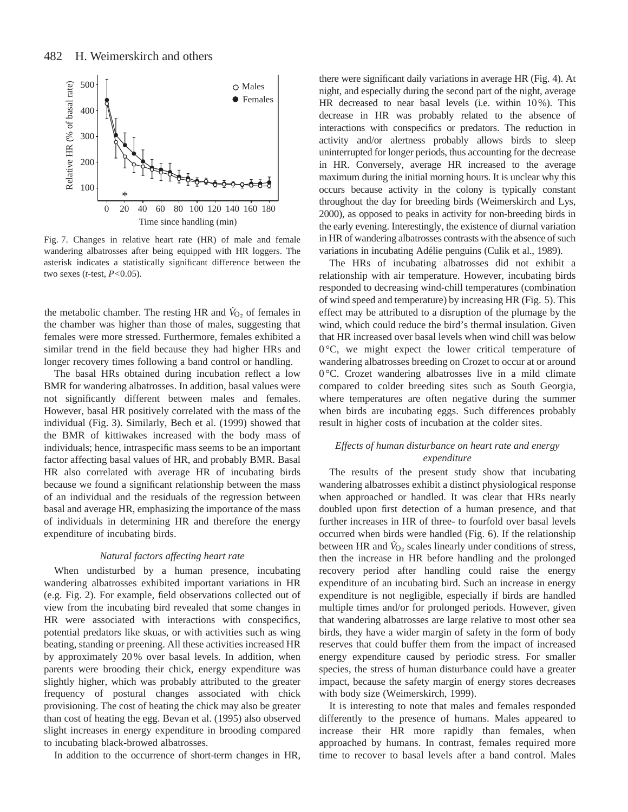

Fig. 7. Changes in relative heart rate (HR) of male and female wandering albatrosses after being equipped with HR loggers. The asterisk indicates a statistically significant difference between the two sexes (*t*-test, *P<*0.05).

the metabolic chamber. The resting HR and  $\dot{V}_{O_2}$  of females in the chamber was higher than those of males, suggesting that females were more stressed. Furthermore, females exhibited a similar trend in the field because they had higher HRs and longer recovery times following a band control or handling.

The basal HRs obtained during incubation reflect a low BMR for wandering albatrosses. In addition, basal values were not significantly different between males and females. However, basal HR positively correlated with the mass of the individual (Fig. 3). Similarly, Bech et al. (1999) showed that the BMR of kittiwakes increased with the body mass of individuals; hence, intraspecific mass seems to be an important factor affecting basal values of HR, and probably BMR. Basal HR also correlated with average HR of incubating birds because we found a significant relationship between the mass of an individual and the residuals of the regression between basal and average HR, emphasizing the importance of the mass of individuals in determining HR and therefore the energy expenditure of incubating birds.

## *Natural factors affecting heart rate*

When undisturbed by a human presence, incubating wandering albatrosses exhibited important variations in HR (e.g. Fig. 2). For example, field observations collected out of view from the incubating bird revealed that some changes in HR were associated with interactions with conspecifics, potential predators like skuas, or with activities such as wing beating, standing or preening. All these activities increased HR by approximately 20 % over basal levels. In addition, when parents were brooding their chick, energy expenditure was slightly higher, which was probably attributed to the greater frequency of postural changes associated with chick provisioning. The cost of heating the chick may also be greater than cost of heating the egg. Bevan et al. (1995) also observed slight increases in energy expenditure in brooding compared to incubating black-browed albatrosses.

In addition to the occurrence of short-term changes in HR,

there were significant daily variations in average HR (Fig. 4). At night, and especially during the second part of the night, average HR decreased to near basal levels (i.e. within 10%). This decrease in HR was probably related to the absence of interactions with conspecifics or predators. The reduction in activity and/or alertness probably allows birds to sleep uninterrupted for longer periods, thus accounting for the decrease in HR. Conversely, average HR increased to the average maximum during the initial morning hours. It is unclear why this occurs because activity in the colony is typically constant throughout the day for breeding birds (Weimerskirch and Lys, 2000), as opposed to peaks in activity for non-breeding birds in the early evening. Interestingly, the existence of diurnal variation in HR of wandering albatrosses contrasts with the absence of such variations in incubating Adélie penguins (Culik et al., 1989).

The HRs of incubating albatrosses did not exhibit a relationship with air temperature. However, incubating birds responded to decreasing wind-chill temperatures (combination of wind speed and temperature) by increasing HR (Fig. 5). This effect may be attributed to a disruption of the plumage by the wind, which could reduce the bird's thermal insulation. Given that HR increased over basal levels when wind chill was below 0 °C, we might expect the lower critical temperature of wandering albatrosses breeding on Crozet to occur at or around 0 °C. Crozet wandering albatrosses live in a mild climate compared to colder breeding sites such as South Georgia, where temperatures are often negative during the summer when birds are incubating eggs. Such differences probably result in higher costs of incubation at the colder sites.

# *Effects of human disturbance on heart rate and energy expenditure*

The results of the present study show that incubating wandering albatrosses exhibit a distinct physiological response when approached or handled. It was clear that HRs nearly doubled upon first detection of a human presence, and that further increases in HR of three- to fourfold over basal levels occurred when birds were handled (Fig. 6). If the relationship . between HR and  $\dot{V}_{O_2}$  scales linearly under conditions of stress, then the increase in HR before handling and the prolonged recovery period after handling could raise the energy expenditure of an incubating bird. Such an increase in energy expenditure is not negligible, especially if birds are handled multiple times and/or for prolonged periods. However, given that wandering albatrosses are large relative to most other sea birds, they have a wider margin of safety in the form of body reserves that could buffer them from the impact of increased energy expenditure caused by periodic stress. For smaller species, the stress of human disturbance could have a greater impact, because the safety margin of energy stores decreases with body size (Weimerskirch, 1999).

It is interesting to note that males and females responded differently to the presence of humans. Males appeared to increase their HR more rapidly than females, when approached by humans. In contrast, females required more time to recover to basal levels after a band control. Males